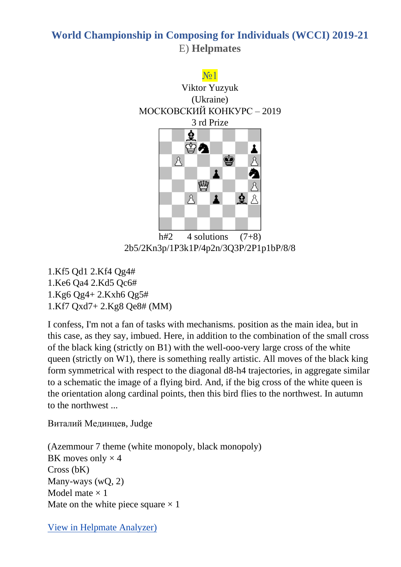

h#2  $4$  solutions  $(7+8)$ 2b5/2Kn3p/1P3k1P/4p2n/3Q3P/2P1p1bP/8/8

1.Kf5 Qd1 2.Kf4 Qg4# 1.Ke6 Qa4 2.Kd5 Qc6# 1.Kg6 Qg4+ 2.Kxh6 Qg5# 1.Kf7 Qxd7+ 2.Kg8 Qe8# (MM)

I confess, I'm not a fan of tasks with mechanisms. position as the main idea, but in this case, as they say, imbued. Here, in addition to the combination of the small cross of the black king (strictly on B1) with the well-ooo-very large cross of the white queen (strictly on W1), there is something really artistic. All moves of the black king form symmetrical with respect to the diagonal d8-h4 trajectories, in aggregate similar to a schematic the image of a flying bird. And, if the big cross of the white queen is the orientation along cardinal points, then this bird flies to the northwest. In autumn to the northwest ...

Виталий Мединцев, Judge

(Azemmour 7 theme (white monopoly, black monopoly) BK moves only  $\times$  4 Cross (bK) Many-ways (wQ, 2) Model mate  $\times$  1 Mate on the white piece square  $\times$  1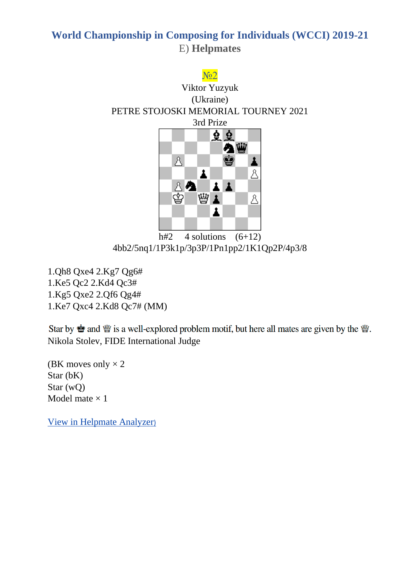

4bb2/5nq1/1P3k1p/3p3P/1Pn1pp2/1K1Qp2P/4p3/8

1.Qh8 Qxe4 2.Kg7 Qg6# 1.Ke5 Qc2 2.Kd4 Qc3# 1.Kg5 Qxe2 2.Qf6 Qg4# 1.Ke7 Qxc4 2.Kd8 Qc7# (MM)

Star by  $\bullet$  and  $\mathcal{W}$  is a well-explored problem motif, but here all mates are given by the  $\mathcal{W}$ . Nikola Stolev, FIDE International Judge

(BK moves only  $\times$  2 Star (bK) Star (wQ) Model mate  $\times$  1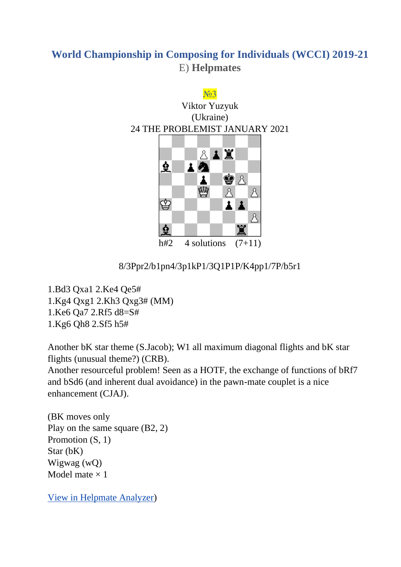

#### 8/3Ppr2/b1pn4/3p1kP1/3Q1P1P/K4pp1/7P/b5r1

1.Bd3 Qxa1 2.Ke4 Qe5# 1.Kg4 Qxg1 2.Kh3 Qxg3# (MM)

1.Ke6 Qa7 2.Rf5 d8=S#

1.Kg6 Qh8 2.Sf5 h5#

Another bK star theme (S.Jacob); W1 all maximum diagonal flights and bK star flights (unusual theme?) (CRB).

Another resourceful problem! Seen as a HOTF, the exchange of functions of bRf7 and bSd6 (and inherent dual avoidance) in the pawn-mate couplet is a nice enhancement (CJAJ).

(BK moves only Play on the same square (B2, 2) Promotion  $(S, 1)$ Star (bK) Wigwag (wQ) Model mate  $\times$  1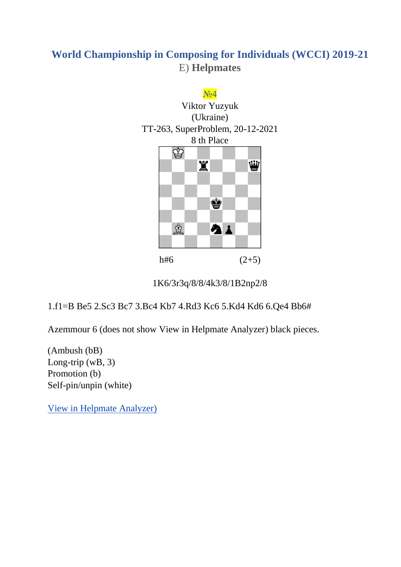

1K6/3r3q/8/8/4k3/8/1B2np2/8

1.f1=B Be5 2.Sc3 Bc7 3.Bc4 Kb7 4.Rd3 Kc6 5.Kd4 Kd6 6.Qe4 Bb6#

Azemmour 6 (does not show [View in Helpmate Analyzer\)](http://helpman.komtera.lt/?fen=1K6/3r3q/8/8/4k3/8/1B2np2/8&moves=6) black pieces.

(Ambush (bB) Long-trip (wB, 3) Promotion (b) Self-pin/unpin (white)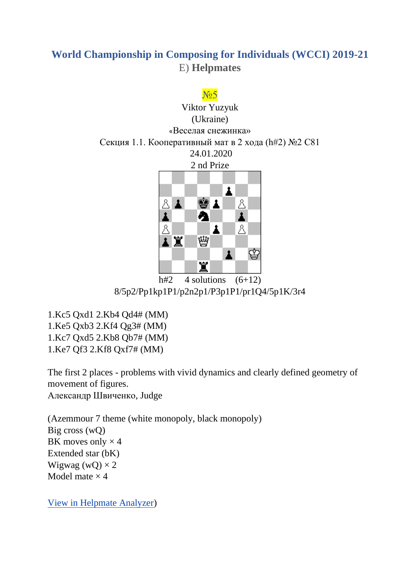

8/5p2/Pp1kp1P1/p2n2p1/P3p1P1/pr1Q4/5p1K/3r4

1.Kc5 Qxd1 2.Kb4 Qd4# (MM) 1.Ke5 Qxb3 2.Kf4 Qg3# (MM) 1.Kc7 Qxd5 2.Kb8 Qb7# (MM) 1.Ke7 Qf3 2.Kf8 Qxf7# (MM)

The first 2 places - problems with vivid dynamics and clearly defined geometry of movement of figures. Александр Швиченко, Judge

(Azemmour 7 theme (white monopoly, black monopoly) Big cross (wQ) BK moves only  $\times$  4 Extended star (bK) Wigwag (wQ)  $\times$  2 Model mate  $\times$  4